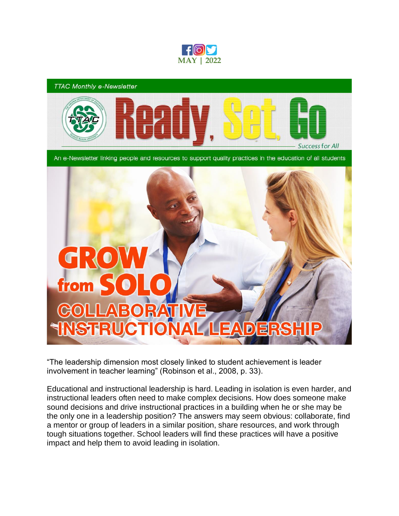

## **TTAC Monthly e-Newsletter**



An e-Newsletter linking people and resources to support quality practices in the education of all students

## G from **ABORAT INSTRUCT** lo  $\blacksquare$

"The leadership dimension most closely linked to student achievement is leader involvement in teacher learning" (Robinson et al., 2008, p. 33).

Educational and instructional leadership is hard. Leading in isolation is even harder, and instructional leaders often need to make complex decisions. How does someone make sound decisions and drive instructional practices in a building when he or she may be the only one in a leadership position? The answers may seem obvious: collaborate, find a mentor or group of leaders in a similar position, share resources, and work through tough situations together. School leaders will find these practices will have a positive impact and help them to avoid leading in isolation.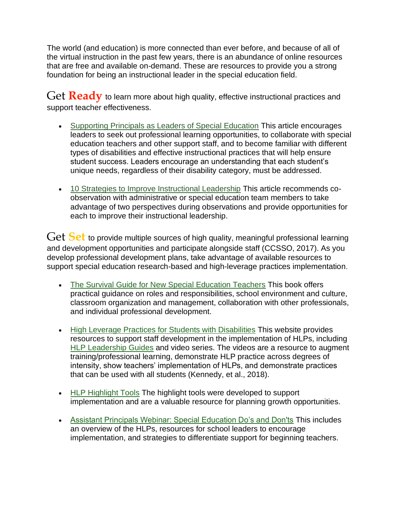The world (and education) is more connected than ever before, and because of all of the virtual instruction in the past few years, there is an abundance of online resources that are free and available on-demand. These are resources to provide you a strong foundation for being an instructional leader in the special education field.

Get **Ready** to learn more about high quality, effective instructional practices and support teacher effectiveness.

- [Supporting Principals as Leaders of Special Education](https://www.nassp.org/top-issues-in-education/position-statements/supporting-principals-as-leaders-of-special-education/) This article encourages leaders to seek out professional learning opportunities, to collaborate with special education teachers and other support staff, and to become familiar with different types of disabilities and effective instructional practices that will help ensure student success. Leaders encourage an understanding that each student's unique needs, regardless of their disability category, must be addressed.
- [10 Strategies to Improve Instructional Leadership](https://www.nassp.org/2019/08/07/10-strategies-to-improve-instructional-leadership/) This article recommends coobservation with administrative or special education team members to take advantage of two perspectives during observations and provide opportunities for each to improve their instructional leadership.

Get **Set** to provide multiple sources of high quality, meaningful professional learning and development opportunities and participate alongside staff (CCSSO, 2017). As you develop professional development plans, take advantage of available resources to support special education research-based and high-leverage practices implementation.

- [The Survival Guide for New Special Education Teachers](https://exceptionalchildren.org/store/books/survival-guide-new-special-education-teachers) This book offers practical guidance on roles and responsibilities, school environment and culture, classroom organization and management, collaboration with other professionals, and individual professional development.
- [High Leverage Practices for Students with Disabilities](https://highleveragepractices.org/) This website provides resources to support staff development in the implementation of HLPs, including [HLP Leadership Guides](https://highleveragepractices.org/hlp-leadership-guides) and video series. The videos are a resource to augment training/professional learning, demonstrate HLP practice across degrees of intensity, show teachers' implementation of HLPs, and demonstrate practices that can be used with all students (Kennedy, et al., 2018).
- [HLP Highlight Tools](https://ttaconline.org/Resource/JWHaEa5BS75BpXRi_D6u2A/Resource-hlp-highlight-tools-1-2-3-4-5-6-7-8-9-10-11-12-13-14-15-16-17-18-19-20-21-22) The highlight tools were developed to support implementation and are a valuable resource for planning growth opportunities.
- [Assistant Principals Webinar: Special Education Do's and Don'ts](https://www.naesp.org/resource/assistant-principals-webinar-special-education-dos-and-donts/) This includes an overview of the HLPs, resources for school leaders to encourage implementation, and strategies to differentiate support for beginning teachers.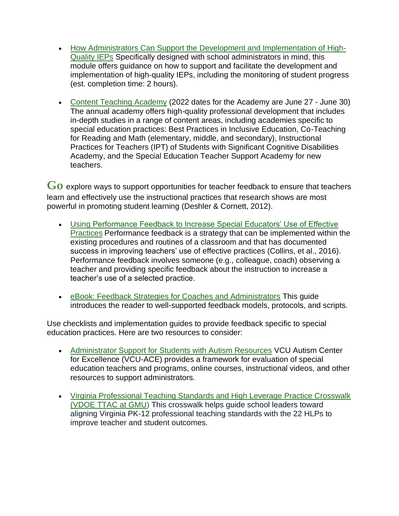- [How Administrators Can Support the Development and Implementation of High-](https://iris.peabody.vanderbilt.edu/module/iep02/)[Quality IEPs](https://iris.peabody.vanderbilt.edu/module/iep02/) Specifically designed with school administrators in mind, this module offers guidance on how to support and facilitate the development and implementation of high-quality IEPs, including the monitoring of student progress (est. completion time: 2 hours).
- [Content Teaching Academy](https://www.jmu.edu/coe/cta/index.shtml) (2022 dates for the Academy are June 27 June 30) The annual academy offers high-quality professional development that includes in-depth studies in a range of content areas, including academies specific to special education practices: Best Practices in Inclusive Education, Co-Teaching for Reading and Math (elementary, middle, and secondary), Instructional Practices for Teachers (IPT) of Students with Significant Cognitive Disabilities Academy, and the Special Education Teacher Support Academy for new teachers.

Go explore ways to support opportunities for teacher feedback to ensure that teachers learn and effectively use the instructional practices that research shows are most powerful in promoting student learning (Deshler & Cornett, 2012).

- [Using Performance Feedback to Increase Special Educators' Use of Effective](https://exceptionalchildren.org/journal/using-performance-feedback-increase-special-education-teachers-use-effective-practices)  [Practices](https://exceptionalchildren.org/journal/using-performance-feedback-increase-special-education-teachers-use-effective-practices) Performance feedback is a strategy that can be implemented within the existing procedures and routines of a classroom and that has documented success in improving teachers' use of effective practices (Collins, et al., 2016). Performance feedback involves someone (e.g., colleague, coach) observing a teacher and providing specific feedback about the instruction to increase a teacher's use of a selected practice.
- [eBook: Feedback Strategies for Coaches and Administrators](https://www.insightadvance.com/resources) This guide introduces the reader to well-supported feedback models, protocols, and scripts.

Use checklists and implementation guides to provide feedback specific to special education practices. Here are two resources to consider:

- [Administrator Support for Students with Autism Resources](https://vcuautismcenter.org/te/administrators.cfm) VCU Autism Center for Excellence (VCU-ACE) provides a framework for evaluation of special education teachers and programs, online courses, instructional videos, and other resources to support administrators.
- [Virginia Professional Teaching Standards and High Leverage Practice Crosswalk](https://ttaconline.org/Resource/JWHaEa5BS76j9uLrOziG_A/Resource-virginia-professional-teaching-standards-and-high-leverage-practice-crosswalk-vdoe-ttac-at-gmu)  [\(VDOE TTAC at GMU\)](https://ttaconline.org/Resource/JWHaEa5BS76j9uLrOziG_A/Resource-virginia-professional-teaching-standards-and-high-leverage-practice-crosswalk-vdoe-ttac-at-gmu) This crosswalk helps guide school leaders toward aligning Virginia PK-12 professional teaching standards with the 22 HLPs to improve teacher and student outcomes.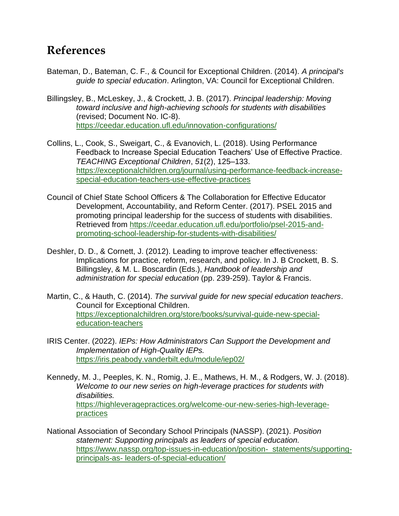## **References**

- Bateman, D., Bateman, C. F., & Council for Exceptional Children. (2014). *A principal's guide to special education*. Arlington, VA: Council for Exceptional Children.
- Billingsley, B., McLeskey, J., & Crockett, J. B. (2017). *Principal leadership: Moving toward inclusive and high-achieving schools for students with disabilities* (revised; Document No. IC-8). [https://ceedar.education.ufl.edu/innovation-configurations/](https://nam11.safelinks.protection.outlook.com/?url=https%3A%2F%2Fceedar.education.ufl.edu%2Finnovation-configurations%2F&data=05%7C01%7Cpyang6%40gmu.edu%7Cc6dbe354d6fd43f7456808da2163f5bf%7C9e857255df574c47a0c00546460380cb%7C0%7C0%7C637859010460604782%7CUnknown%7CTWFpbGZsb3d8eyJWIjoiMC4wLjAwMDAiLCJQIjoiV2luMzIiLCJBTiI6Ik1haWwiLCJXVCI6Mn0%3D%7C3000%7C%7C%7C&sdata=hq4Gc5%2FBcEN6VnGYMin261klN19rhZ4iVwWWWrMgbY8%3D&reserved=0)
- Collins, L., Cook, S., Sweigart, C., & Evanovich, L. (2018). Using Performance Feedback to Increase Special Education Teachers' Use of Effective Practice. *TEACHING Exceptional Children*, *51*(2), 125–133. [https://exceptionalchildren.org/journal/using-performance-feedback-increase](https://exceptionalchildren.org/journal/using-performance-feedback-increase-special-education-teachers-use-effective-practices)[special-education-teachers-use-effective-practices](https://exceptionalchildren.org/journal/using-performance-feedback-increase-special-education-teachers-use-effective-practices)
- Council of Chief State School Officers & The Collaboration for Effective Educator Development, Accountability, and Reform Center. (2017). PSEL 2015 and promoting principal leadership for the success of students with disabilities. Retrieved from [https://ceedar.education.ufl.edu/portfolio/psel-2015-and](https://ceedar.education.ufl.edu/portfolio/psel-2015-and-promoting-school-leadership-for-students-with-disabilities/)[promoting-school-leadership-for-students-with-disabilities/](https://ceedar.education.ufl.edu/portfolio/psel-2015-and-promoting-school-leadership-for-students-with-disabilities/)
- Deshler, D. D., & Cornett, J. (2012). Leading to improve teacher effectiveness: Implications for practice, reform, research, and policy. In J. B Crockett, B. S. Billingsley, & M. L. Boscardin (Eds.), *Handbook of leadership and administration for special education* (pp. 239-259). Taylor & Francis.
- Martin, C., & Hauth, C. (2014). *The survival guide for new special education teachers*. Council for Exceptional Children[.](https://exceptionalchildren.org/store/books/survival-guide-new-special-education-teachers) [https://exceptionalchildren.org/store/books/survival-guide-new-special](https://exceptionalchildren.org/store/books/survival-guide-new-special-education-teachers)[education-teachers](https://exceptionalchildren.org/store/books/survival-guide-new-special-education-teachers)
- IRIS Center. (2022). *IEPs: How Administrators Can Support the Development and Implementation of High-Quality IEPs.*  <https://iris.peabody.vanderbilt.edu/module/iep02/>
- Kennedy, M. J., Peeples, K. N., Romig, J. E., Mathews, H. M., & Rodgers, W. J. (2018). *Welcome to our new series on high-leverage practices for students with disabilities.*  [https://highleveragepractices.org/welcome-our-new-series-high-leverage](https://highleveragepractices.org/welcome-our-new-series-high-leverage-practices)[practices](https://highleveragepractices.org/welcome-our-new-series-high-leverage-practices)
- National Association of Secondary School Principals (NASSP). (2021). *Position statement: Supporting principals as leaders of special education.* [https://www.nassp.org/top-issues-in-education/position- statements/supporting](https://www.nassp.org/top-issues-in-education/position-%20%20%20statements/supporting-principals-as-%20%20leaders-of-special-education/)principals-as- [leaders-of-special-education/](https://www.nassp.org/top-issues-in-education/position-%20%20%20statements/supporting-principals-as-%20%20leaders-of-special-education/)